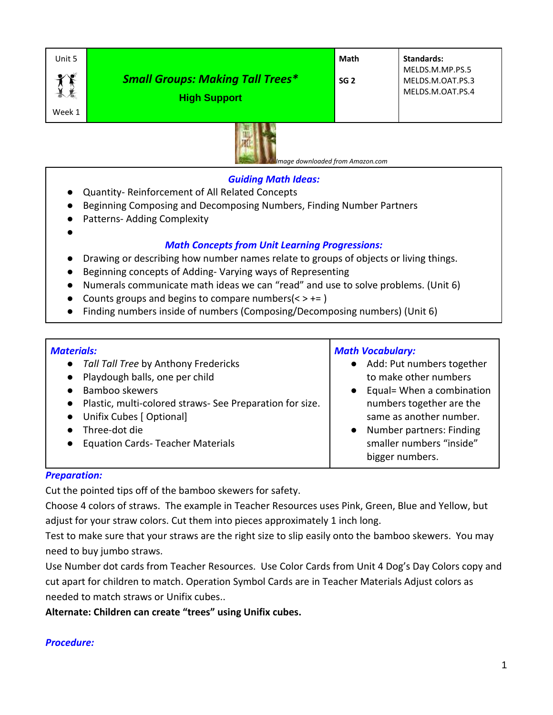| Unit 5 |                                         | Math            | <b>Standards:</b> |
|--------|-----------------------------------------|-----------------|-------------------|
|        |                                         |                 | MELDS.M.MP.PS.5   |
|        | <b>Small Groups: Making Tall Trees*</b> | SG <sub>2</sub> | MELDS.M.OAT.PS.3  |
|        | <b>High Support</b>                     |                 | MELDS.M.OAT.PS.4  |
| Week 1 |                                         |                 |                   |



 *Image downloaded from Amazon.com*

### *Guiding Math Ideas:*

- Quantity- Reinforcement of All Related Concepts
- Beginning Composing and Decomposing Numbers, Finding Number Partners
- Patterns- Adding Complexity

# *Math Concepts from Unit Learning Progressions:*

- Drawing or describing how number names relate to groups of objects or living things.
- Beginning concepts of Adding- Varying ways of Representing
- Numerals communicate math ideas we can "read" and use to solve problems. (Unit 6)
- Counts groups and begins to compare numbers $(<$  >  $+=$  )
- Finding numbers inside of numbers (Composing/Decomposing numbers) (Unit 6)

| <b>Materials:</b>                                          | <b>Math Vocabulary:</b>             |  |
|------------------------------------------------------------|-------------------------------------|--|
| • Tall Tall Tree by Anthony Fredericks                     | • Add: Put numbers together         |  |
| • Playdough balls, one per child                           | to make other numbers               |  |
| Bamboo skewers<br>$\bullet$                                | $\bullet$ Equal= When a combination |  |
| • Plastic, multi-colored straws- See Preparation for size. | numbers together are the            |  |
| Unifix Cubes [ Optional]<br>$\bullet$                      | same as another number.             |  |
| Three-dot die<br>$\bullet$                                 | Number partners: Finding            |  |
| <b>Equation Cards- Teacher Materials</b><br>$\bullet$      | smaller numbers "inside"            |  |
|                                                            | bigger numbers.                     |  |

### *Preparation:*

●

Cut the pointed tips off of the bamboo skewers for safety.

Choose 4 colors of straws. The example in Teacher Resources uses Pink, Green, Blue and Yellow, but adjust for your straw colors. Cut them into pieces approximately 1 inch long.

Test to make sure that your straws are the right size to slip easily onto the bamboo skewers. You may need to buy jumbo straws.

Use Number dot cards from Teacher Resources. Use Color Cards from Unit 4 Dog's Day Colors copy and cut apart for children to match. Operation Symbol Cards are in Teacher Materials Adjust colors as needed to match straws or Unifix cubes..

**Alternate: Children can create "trees" using Unifix cubes.**

### *Procedure:*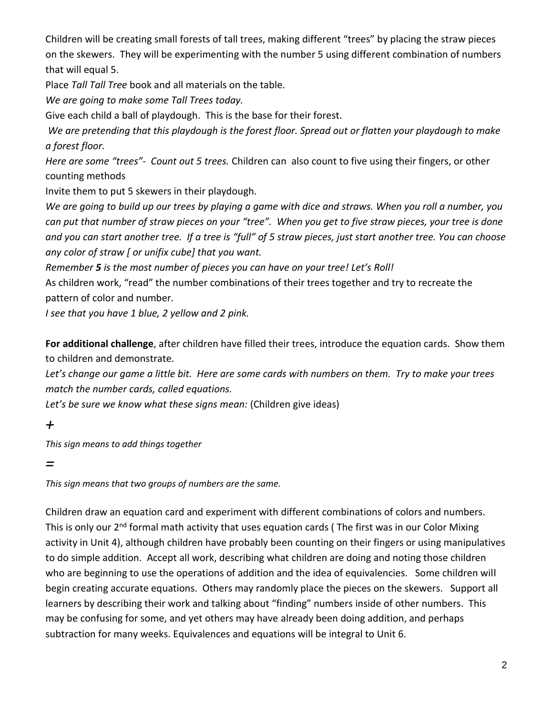Children will be creating small forests of tall trees, making different "trees" by placing the straw pieces on the skewers. They will be experimenting with the number 5 using different combination of numbers that will equal 5.

Place *Tall Tall Tree* book and all materials on the table.

*We are going to make some Tall Trees today.*

Give each child a ball of playdough. This is the base for their forest.

*We are pretending that this playdough is the forest floor. Spread out or flatten your playdough to make a forest floor.*

*Here are some "trees"- Count out 5 trees.* Children can also count to five using their fingers, or other counting methods

Invite them to put 5 skewers in their playdough.

*We are going to build up our trees by playing a game with dice and straws. When you roll a number, you can put that number of straw pieces on your "tree". When you get to five straw pieces, your tree is done and you can start another tree. If a tree is "full" of 5 straw pieces, just start another tree. You can choose any color of straw [ or unifix cube] that you want.*

*Remember 5 is the most number of pieces you can have on your tree! Let's Roll!*

As children work, "read" the number combinations of their trees together and try to recreate the pattern of color and number*.*

*I see that you have 1 blue, 2 yellow and 2 pink.*

**For additional challenge**, after children have filled their trees, introduce the equation cards. Show them to children and demonstrate.

*Let's change our game a little bit. Here are some cards with numbers on them. Try to make your trees match the number cards, called equations.*

Let's be sure we know what these signs mean: (Children give ideas)

*+*

*This sign means to add things together*

*=*

*This sign means that two groups of numbers are the same.*

Children draw an equation card and experiment with different combinations of colors and numbers. This is only our 2<sup>nd</sup> formal math activity that uses equation cards (The first was in our Color Mixing activity in Unit 4), although children have probably been counting on their fingers or using manipulatives to do simple addition. Accept all work, describing what children are doing and noting those children who are beginning to use the operations of addition and the idea of equivalencies. Some children will begin creating accurate equations. Others may randomly place the pieces on the skewers. Support all learners by describing their work and talking about "finding" numbers inside of other numbers. This may be confusing for some, and yet others may have already been doing addition, and perhaps subtraction for many weeks. Equivalences and equations will be integral to Unit 6.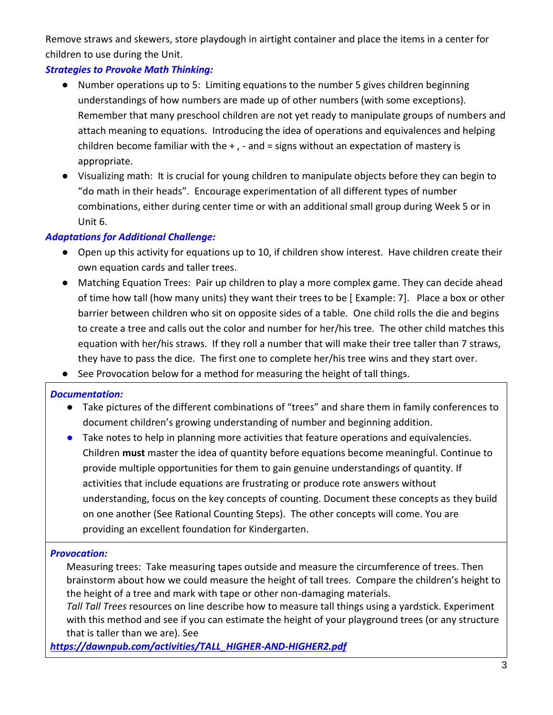Remove straws and skewers, store playdough in airtight container and place the items in a center for children to use during the Unit.

## *Strategies to Provoke Math Thinking:*

- Number operations up to 5: Limiting equations to the number 5 gives children beginning understandings of how numbers are made up of other numbers (with some exceptions). Remember that many preschool children are not yet ready to manipulate groups of numbers and attach meaning to equations. Introducing the idea of operations and equivalences and helping children become familiar with the  $+$  ,  $-$  and  $=$  signs without an expectation of mastery is appropriate.
- Visualizing math: It is crucial for young children to manipulate objects before they can begin to "do math in their heads". Encourage experimentation of all different types of number combinations, either during center time or with an additional small group during Week 5 or in Unit 6.

### *Adaptations for Additional Challenge:*

- Open up this activity for equations up to 10, if children show interest. Have children create their own equation cards and taller trees.
- Matching Equation Trees: Pair up children to play a more complex game. They can decide ahead of time how tall (how many units) they want their trees to be [ Example: 7]. Place a box or other barrier between children who sit on opposite sides of a table. One child rolls the die and begins to create a tree and calls out the color and number for her/his tree. The other child matches this equation with her/his straws. If they roll a number that will make their tree taller than 7 straws, they have to pass the dice. The first one to complete her/his tree wins and they start over.
- See Provocation below for a method for measuring the height of tall things.

### *Documentation:*

- Take pictures of the different combinations of "trees" and share them in family conferences to document children's growing understanding of number and beginning addition.
- Take notes to help in planning more activities that feature operations and equivalencies. Children **must** master the idea of quantity before equations become meaningful. Continue to provide multiple opportunities for them to gain genuine understandings of quantity. If activities that include equations are frustrating or produce rote answers without understanding, focus on the key concepts of counting. Document these concepts as they build on one another (See Rational Counting Steps). The other concepts will come. You are providing an excellent foundation for Kindergarten.

### *Provocation:*

Measuring trees: Take measuring tapes outside and measure the circumference of trees. Then brainstorm about how we could measure the height of tall trees. Compare the children's height to the height of a tree and mark with tape or other non-damaging materials.

*Tall Tall Trees* resources on line describe how to measure tall things using a yardstick. Experiment with this method and see if you can estimate the height of your playground trees (or any structure that is taller than we are). See

*[https://dawnpub.com/activities/TALL\\_HIGHER-AND-HIGHER2.pdf](https://dawnpub.com/activities/TALL_HIGHER-AND-HIGHER2.pdf)*